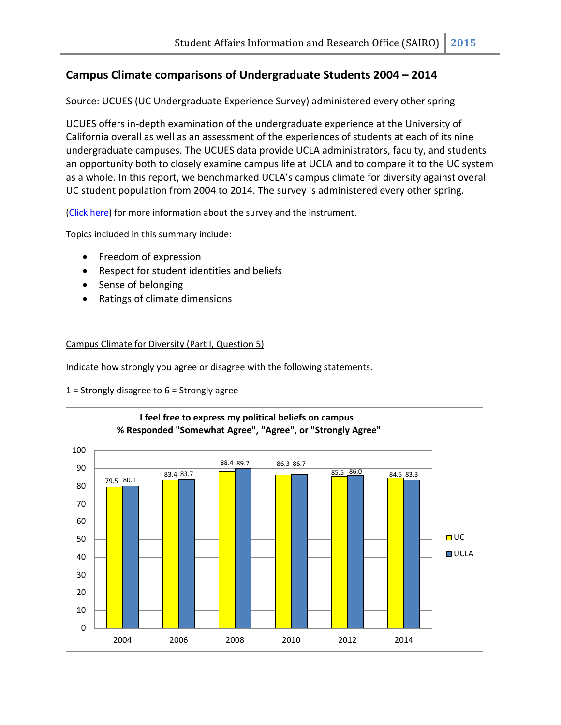## **Campus Climate comparisons of Undergraduate Students 2004 – 2014**

Source: UCUES (UC Undergraduate Experience Survey) administered every other spring

UCUES offers in-depth examination of the undergraduate experience at the University of California overall as well as an assessment of the experiences of students at each of its nine undergraduate campuses. The UCUES data provide UCLA administrators, faculty, and students an opportunity both to closely examine campus life at UCLA and to compare it to the UC system as a whole. In this report, we benchmarked UCLA's campus climate for diversity against overall UC student population from 2004 to 2014. The survey is administered every other spring.

[\(Click here\)](http://www.sairo.ucla.edu/data/efforts_ucues.html) for more information about the survey and the instrument.

Topics included in this summary include:

- Freedom of expression
- Respect for student identities and beliefs
- Sense of belonging
- Ratings of climate dimensions

## Campus Climate for Diversity (Part I, Question 5)

Indicate how strongly you agree or disagree with the following statements.

1 = Strongly disagree to  $6$  = Strongly agree

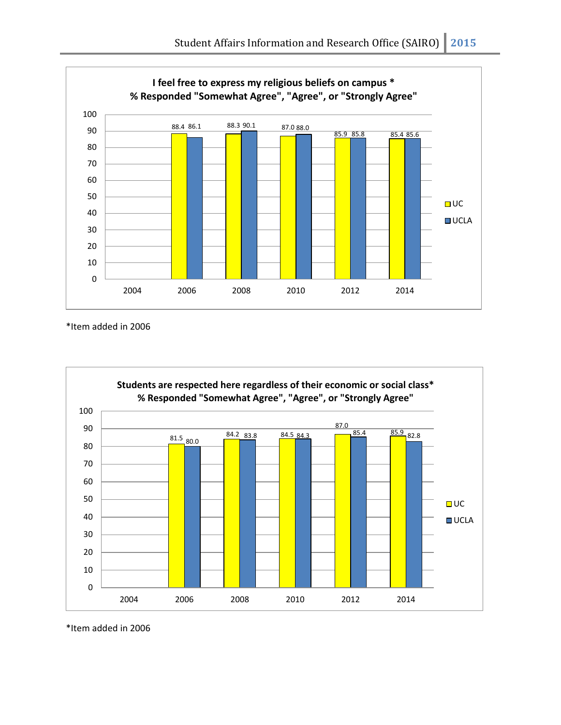

\*Item added in 2006



\*Item added in 2006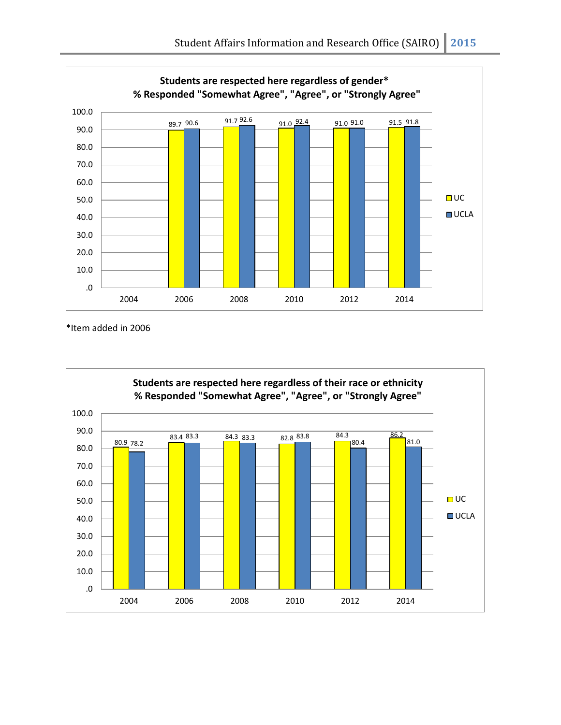

\*Item added in 2006

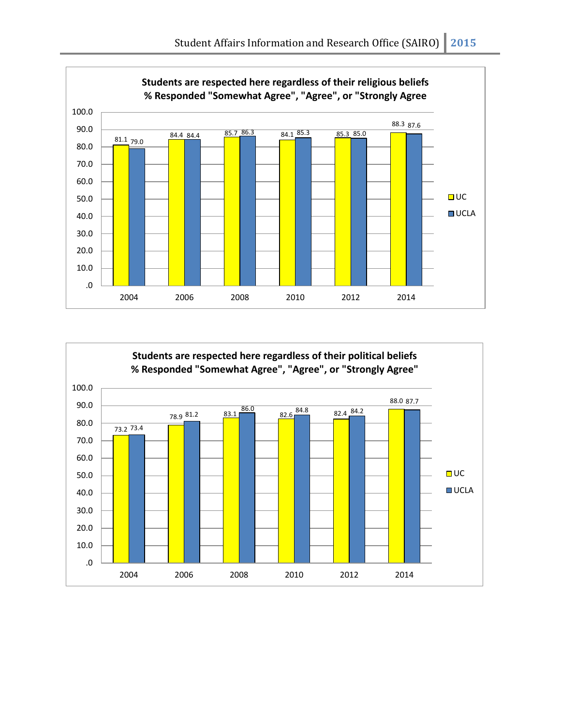

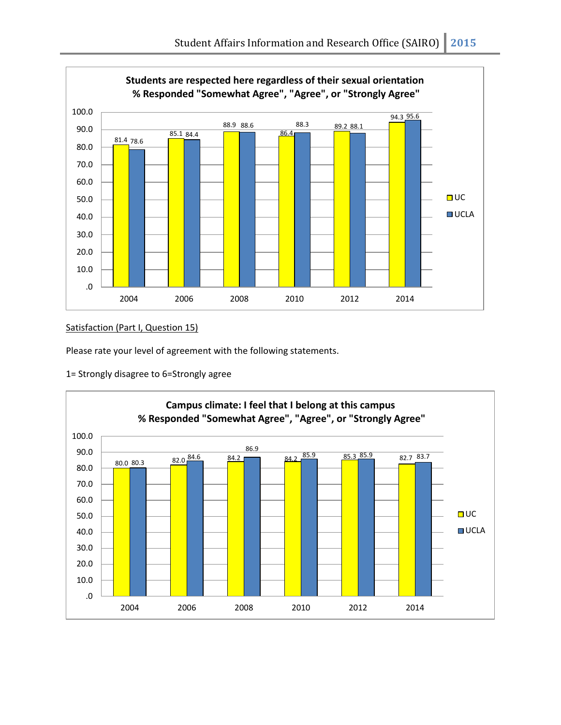

## Satisfaction (Part I, Question 15)

Please rate your level of agreement with the following statements.

1= Strongly disagree to 6=Strongly agree

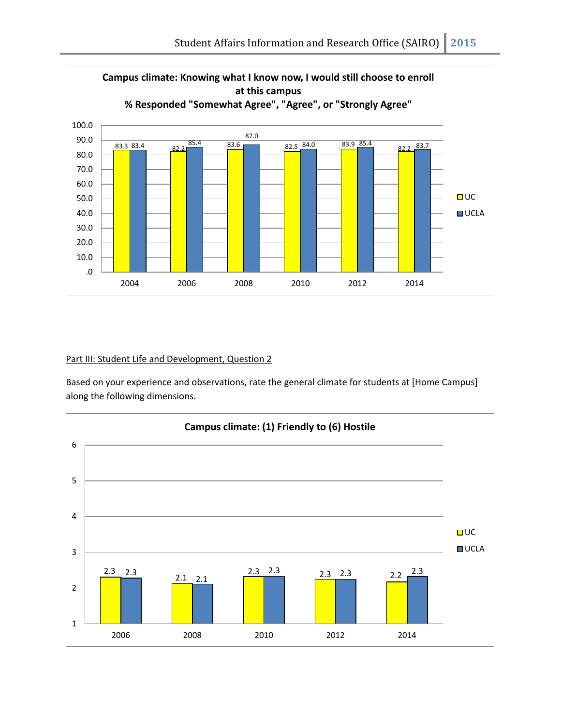

## Part III: Student Life and Development, Question 2

Based on your experience and observations, rate the general climate for students at [Home Campus] along the following dimensions.

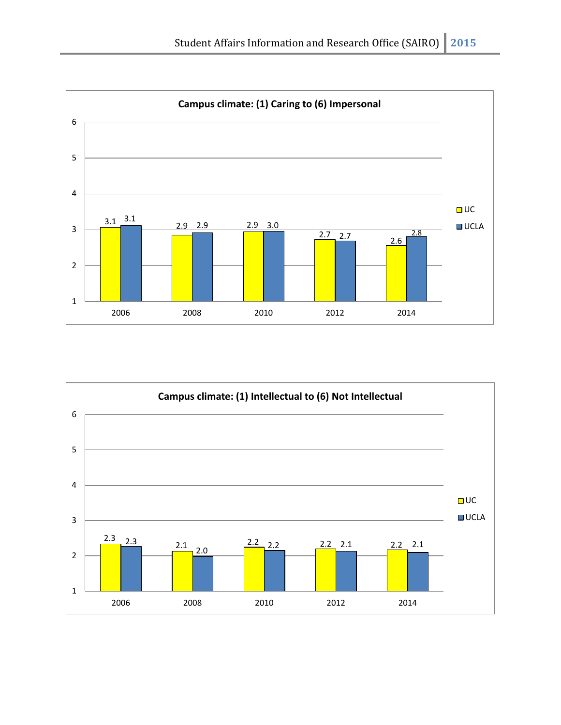

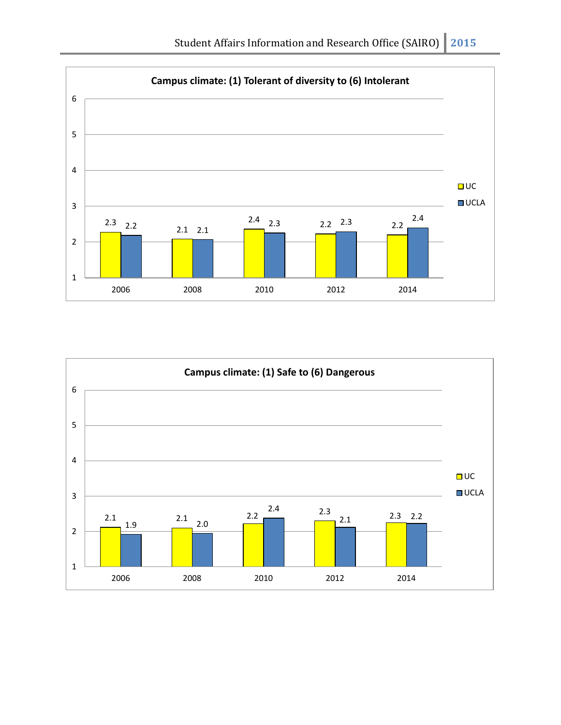